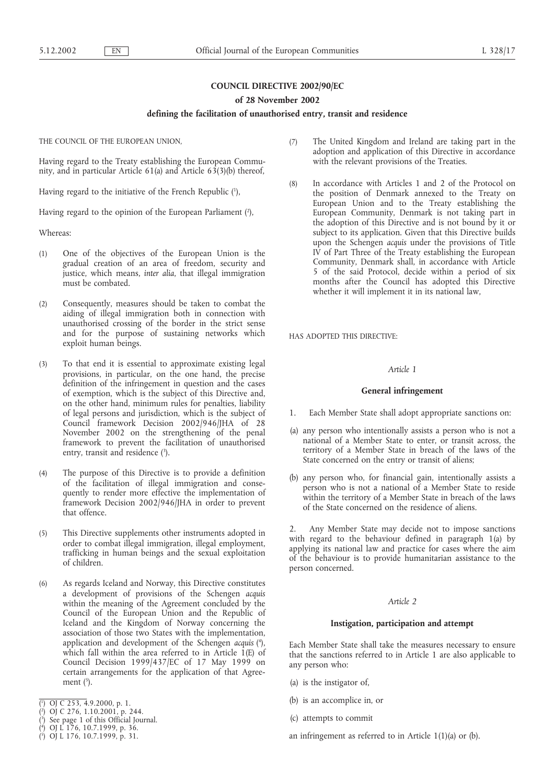# **COUNCIL DIRECTIVE 2002/90/EC**

#### **of 28 November 2002**

#### **defining the facilitation of unauthorised entry, transit and residence**

THE COUNCIL OF THE EUROPEAN UNION,

Having regard to the Treaty establishing the European Community, and in particular Article 61(a) and Article 63(3)(b) thereof,

Having regard to the initiative of the French Republic (1),

Having regard to the opinion of the European Parliament (2),

Whereas:

- (1) One of the objectives of the European Union is the gradual creation of an area of freedom, security and justice, which means, *inter alia*, that illegal immigration must be combated.
- (2) Consequently, measures should be taken to combat the aiding of illegal immigration both in connection with unauthorised crossing of the border in the strict sense and for the purpose of sustaining networks which exploit human beings.
- (3) To that end it is essential to approximate existing legal provisions, in particular, on the one hand, the precise definition of the infringement in question and the cases of exemption, which is the subject of this Directive and, on the other hand, minimum rules for penalties, liability of legal persons and jurisdiction, which is the subject of Council framework Decision 2002/946/JHA of 28 November 2002 on the strengthening of the penal framework to prevent the facilitation of unauthorised entry, transit and residence (3).
- (4) The purpose of this Directive is to provide a definition of the facilitation of illegal immigration and consequently to render more effective the implementation of framework Decision 2002/946/JHA in order to prevent that offence.
- (5) This Directive supplements other instruments adopted in order to combat illegal immigration, illegal employment, trafficking in human beings and the sexual exploitation of children.
- (6) As regards Iceland and Norway, this Directive constitutes a development of provisions of the Schengen *acquis* within the meaning of the Agreement concluded by the Council of the European Union and the Republic of Iceland and the Kingdom of Norway concerning the association of those two States with the implementation, application and development of the Schengen *acquis* ( 4 ), which fall within the area referred to in Article 1(E) of Council Decision 1999/437/EC of 17 May 1999 on certain arrangements for the application of that Agreement (5).
- ( 1 ) OJ C 253, 4.9.2000, p. 1.
- ( 2 ) OJ C 276, 1.10.2001, p. 244.
- ( 3 ) See page 1 of this Official Journal.
- ( 4 ) OJ L 176, 10.7.1999, p. 36.
- ( 5 ) OJ L 176, 10.7.1999, p. 31.
- (7) The United Kingdomand Ireland are taking part in the adoption and application of this Directive in accordance with the relevant provisions of the Treaties.
- (8) In accordance with Articles 1 and 2 of the Protocol on the position of Denmark annexed to the Treaty on European Union and to the Treaty establishing the European Community, Denmark is not taking part in the adoption of this Directive and is not bound by it or subject to its application. Given that this Directive builds upon the Schengen *acquis* under the provisions of Title IV of Part Three of the Treaty establishing the European Community, Denmark shall, in accordance with Article 5 of the said Protocol, decide within a period of six months after the Council has adopted this Directive whether it will implement it in its national law,

HAS ADOPTED THIS DIRECTIVE:

### *Article 1*

#### **General infringement**

- 1. Each Member State shall adopt appropriate sanctions on:
- (a) any person who intentionally assists a person who is not a national of a Member State to enter, or transit across, the territory of a Member State in breach of the laws of the State concerned on the entry or transit of aliens;
- (b) any person who, for financial gain, intentionally assists a person who is not a national of a Member State to reside within the territory of a Member State in breach of the laws of the State concerned on the residence of aliens.

2. Any Member State may decide not to impose sanctions with regard to the behaviour defined in paragraph 1(a) by applying its national law and practice for cases where the aim of the behaviour is to provide humanitarian assistance to the person concerned.

#### *Article 2*

#### **Instigation, participation and attempt**

Each Member State shall take the measures necessary to ensure that the sanctions referred to in Article 1 are also applicable to any person who:

- (a) is the instigator of,
- (b) is an accomplice in, or
- (c) attempts to commit
- an infringement as referred to in Article 1(1)(a) or (b).